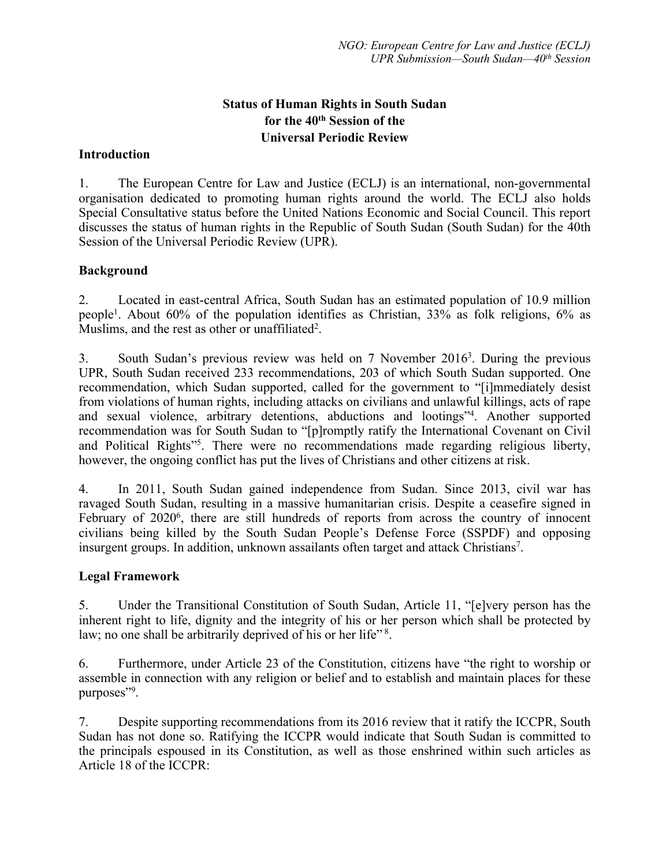# **Status of Human Rights in South Sudan for the 40th Session of the Universal Periodic Review**

#### **Introduction**

1. The European Centre for Law and Justice (ECLJ) is an international, non-governmental organisation dedicated to promoting human rights around the world. The ECLJ also holds Special Consultative status before the United Nations Economic and Social Council. This repor<sup>t</sup> discusses the status of human rights in the Republic of South Sudan (South Sudan) for the 40th Session of the Universal Periodic Review (UPR).

### **Background**

2. Located in east-central Africa, South Sudan has an estimated population of 10.9 million people<sup>1</sup>. About 60% of the population identifies as Christian, 33% as folk religions, 6% as Muslims, and the rest as other or unaffiliated<sup>2</sup>.

3. South Sudan'<sup>s</sup> previous review was held on <sup>7</sup> November 2016<sup>3</sup> . During the previous UPR, South Sudan received 233 recommendations, 203 of which South Sudan supported. One recommendation, which Sudan supported, called for the governmen<sup>t</sup> to "[i]mmediately desist from violations of human rights, including attacks on civilians and unlawful killings, acts of rape and sexual violence, arbitrary detentions, abductions and lootings"<sup>4</sup> . Another supported recommendation was for South Sudan to "[p]romptly ratify the International Covenant on Civil and Political Rights"<sup>5</sup> . There were no recommendations made regarding religious liberty, however, the ongoing conflict has pu<sup>t</sup> the lives of Christians and other citizens at risk.

4. In 2011, South Sudan gained independence from Sudan. Since 2013, civil war has ravaged South Sudan, resulting in <sup>a</sup> massive humanitarian crisis. Despite <sup>a</sup> ceasefire signed in February of 2020<sup>6</sup>, there are still hundreds of reports from across the country of innocent civilians being killed by the South Sudan People'<sup>s</sup> Defense Force (SSPDF) and opposing insurgent groups. In addition, unknown assailants often target and attack Christians<sup>7</sup>.

#### **Legal Framework**

5. Under the Transitional Constitution of South Sudan, Article 11, "[e]very person has the inherent right to life, dignity and the integrity of his or her person which shall be protected by law; no one shall be arbitrarily deprived of his or her life" <sup>8</sup>.

6. Furthermore, under Article 23 of the Constitution, citizens have "the right to worship or assemble in connection with any religion or belief and to establish and maintain places for these purposes"<sup>9</sup>.

7. Despite supporting recommendations from its 2016 review that it ratify the ICCPR, South Sudan has not done so. Ratifying the ICCPR would indicate that South Sudan is committed to the principals espoused in its Constitution, as well as those enshrined within such articles as Article 18 of the ICCPR: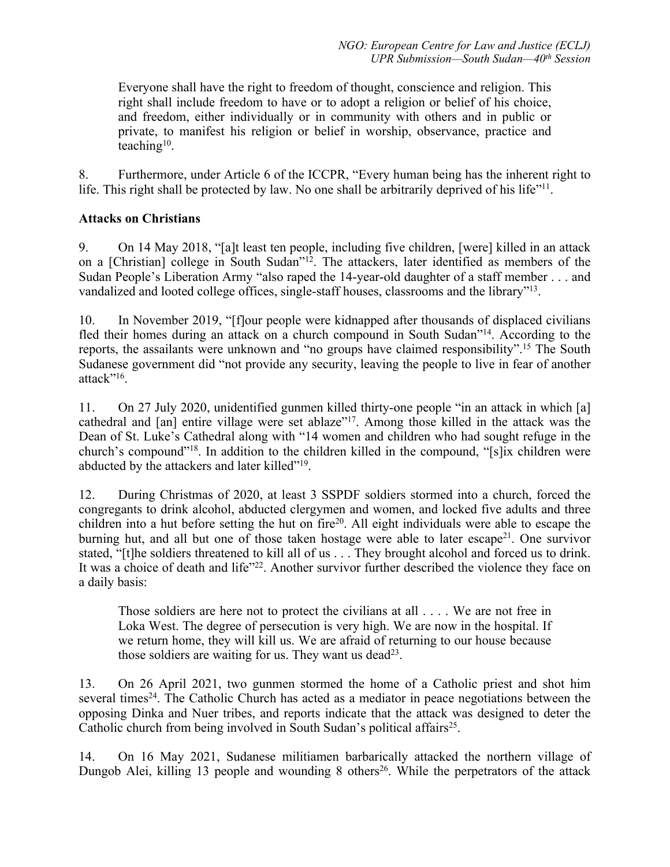Everyone shall have the right to freedom of thought, conscience and religion. This right shall include freedom to have or to adopt <sup>a</sup> religion or belief of his choice, and freedom, either individually or in community with others and in public or private, to manifest his religion or belief in worship, observance, practice and teaching<sup>10</sup>.

8. Furthermore, under Article 6 of the ICCPR, "Every human being has the inherent right to life. This right shall be protected by law. No one shall be arbitrarily deprived of his life"<sup>11</sup>.

## **Attacks on Christians**

9. On 14 May 2018, "[a]t least ten people, including five children, [were] killed in an attack on a [Christian] college in South Sudan"<sup>12</sup>. The attackers, later identified as members of the Sudan People'<sup>s</sup> Liberation Army "also raped the 14-year-old daughter of <sup>a</sup> staff member . . . and vandalized and looted college offices, single-staff houses, classrooms and the library"<sup>13</sup>.

10. In November 2019, "[f]our people were kidnapped after thousands of displaced civilians fled their homes during an attack on a church compound in South Sudan"<sup>14</sup>. According to the reports, the assailants were unknown and "no groups have claimed responsibility".<sup>15</sup> The South Sudanese governmen<sup>t</sup> did "not provide any security, leaving the people to live in fear of another attack"<sup>16</sup>.

11. On 27 July 2020, unidentified gunmen killed thirty-one people "in an attack in which [a] cathedral and [an] entire village were set ablaze"<sup>17</sup>. Among those killed in the attack was the Dean of St. Luke'<sup>s</sup> Cathedral along with "14 women and children who had sought refuge in the church's compound"<sup>18</sup>. In addition to the children killed in the compound, "[s]ix children were abducted by the attackers and later killed"<sup>19</sup>.

12. During Christmas of 2020, at least 3 SSPDF soldiers stormed into <sup>a</sup> church, forced the congregants to drink alcohol, abducted clergymen and women, and locked five adults and three children into a hut before setting the hut on fire<sup>20</sup>. All eight individuals were able to escape the burning hut, and all but one of those taken hostage were able to later escape<sup>21</sup>. One survivor stated, "[t]he soldiers threatened to kill all of us . . . They brought alcohol and forced us to drink. It was a choice of death and life"<sup>22</sup>. Another survivor further described the violence they face on <sup>a</sup> daily basis:

Those soldiers are here not to protect the civilians at all . . . . We are not free in Loka West. The degree of persecution is very high. We are now in the hospital. If we return home, they will kill us. We are afraid of returning to our house because those soldiers are waiting for us. They want us dead<sup>23</sup>.

13. On 26 April 2021, two gunmen stormed the home of <sup>a</sup> Catholic priest and shot him several times<sup>24</sup>. The Catholic Church has acted as a mediator in peace negotiations between the opposing Dinka and Nuer tribes, and reports indicate that the attack was designed to deter the Catholic church from being involved in South Sudan's political affairs<sup>25</sup>.

14. On 16 May 2021, Sudanese militiamen barbarically attacked the northern village of Dungob Alei, killing 13 people and wounding 8 others 26 . While the perpetrators of the attack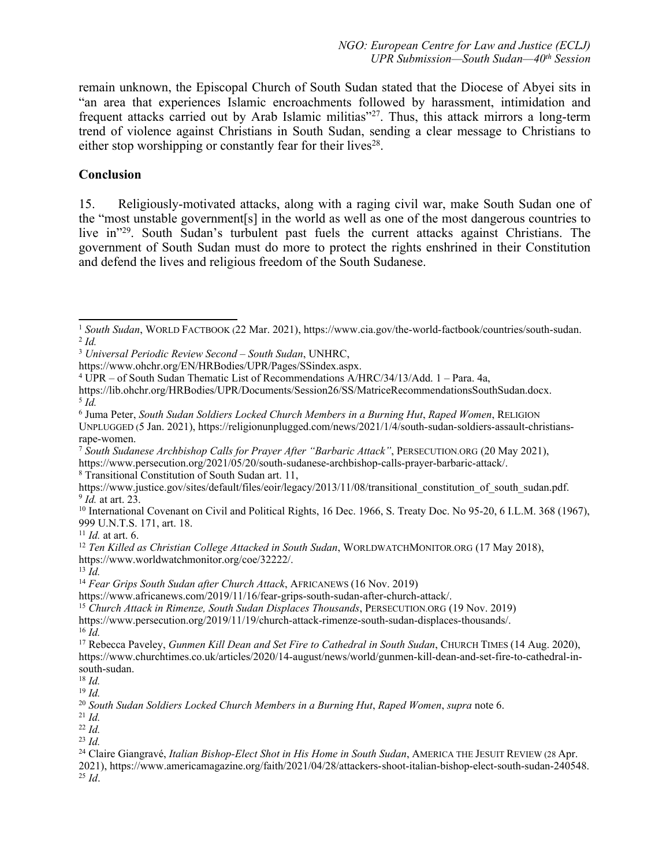remain unknown, the Episcopal Church of South Sudan stated that the Diocese of Abyei sits in "an area that experiences Islamic encroachments followed by harassment, intimidation and frequent attacks carried out by Arab Islamic militias"<sup>27</sup>. Thus, this attack mirrors a long-term trend of violence against Christians in South Sudan, sending <sup>a</sup> clear message to Christians to either stop worshipping or constantly fear for their lives<sup>28</sup>.

#### **Conclusion**

15. Religiously-motivated attacks, along with <sup>a</sup> raging civil war, make South Sudan one of the "most unstable government[s] in the world as well as one of the most dangerous countries to live in"<sup>29</sup> . South Sudan'<sup>s</sup> turbulent pas<sup>t</sup> fuels the current attacks against Christians. The governmen<sup>t</sup> of South Sudan must do more to protect the rights enshrined in their Constitution and defend the lives and religious freedom of the South Sudanese.

https://lib.ohchr.org/HRBodies/UPR/Documents/Session26/SS/MatriceRecommendationsSouthSudan.docx. 5 *Id.*

7 *South Sudanese Archbishop Calls for Prayer After "Barbaric Attack"*, PERSECUTION.ORG (20 May 2021), https://www.persecution.org/2021/05/20/south-sudanese-archbishop-calls-prayer-barbaric-attack/.

8 Transitional Constitution of South Sudan art. 11,

11 *Id.* at art. 6.

12 *Ten Killed as Christian College Attacked in South Sudan*, WORLDWATCHMONITOR.ORG (17 May 2018), https://www.worldwatchmonitor.org/coe/32222/.

https://www.africanews.com/2019/11/16/fear-grips-south-sudan-after-church-attack/.

2021), https://www.americamagazine.org/faith/2021/04/28/attackers-shoot-italian-bishop-elect-south-sudan-240548. 25 *Id*.

<sup>&</sup>lt;sup>1</sup> South Sudan, WORLD FACTBOOK (22 Mar. 2021), https://www.cia.gov/the-world-factbook/countries/south-sudan. 2 *Id.*

<sup>3</sup> *Universal Periodic Review Second – South Sudan*, UNHRC,

https://www.ohchr.org/EN/HRBodies/UPR/Pages/SSindex.aspx.

<sup>4</sup> UPR – of South Sudan Thematic List of Recommendations A/HRC/34/13/Add. 1 – Para. 4a,

<sup>6</sup> Juma Peter, *South Sudan Soldiers Locked Church Members in <sup>a</sup> Burning Hut*, *Raped Women*, RELIGION UNPLUGGED (5 Jan. 2021), https://religionunplugged.com/news/2021/1/4/south-sudan-soldiers-assault-christiansrape-women.

https://www.justice.gov/sites/default/files/eoir/legacy/2013/11/08/transitional\_constitution\_of\_south\_sudan.pdf. 9 *Id.* at art. 23.

<sup>&</sup>lt;sup>10</sup> International Covenant on Civil and Political Rights, 16 Dec. 1966, S. Treaty Doc. No 95-20, 6 I.L.M. 368 (1967), 999 U.N.T.S. 171, art. 18.

<sup>13</sup> *Id.*

<sup>14</sup> *Fear Grips South Sudan after Church Attack*, AFRICANEWS (16 Nov. 2019)

<sup>15</sup> *Church Attack in Rimenze, South Sudan Displaces Thousands*, <sup>P</sup>ERSECUTION.ORG (19 Nov. 2019)

https://www.persecution.org/2019/11/19/church-attack-rimenze-south-sudan-displaces-thousands/. 16 *Id.*

<sup>17</sup> Rebecca Paveley, *Gunmen Kill Dean and Set Fire to Cathedral in South Sudan*, CHURCH <sup>T</sup>IMES (14 Aug. 2020), https://www.churchtimes.co.uk/articles/2020/14-august/news/world/gunmen-kill-dean-and-set-fire-to-cathedral-insouth-sudan.

<sup>18</sup> *Id.*

<sup>19</sup> *Id.*

<sup>20</sup> *South Sudan Soldiers Locked Church Members in <sup>a</sup> Burning Hut*, *Raped Women*, *supra* note 6.

<sup>21</sup> *Id.*

<sup>22</sup> *Id.*

<sup>23</sup> *Id.*

<sup>24</sup> Claire Giangravé, *Italian Bishop-Elect Shot in His Home in South Sudan*, <sup>A</sup>MERICA THE <sup>J</sup>ESUIT <sup>R</sup>EVIEW (28 Apr.